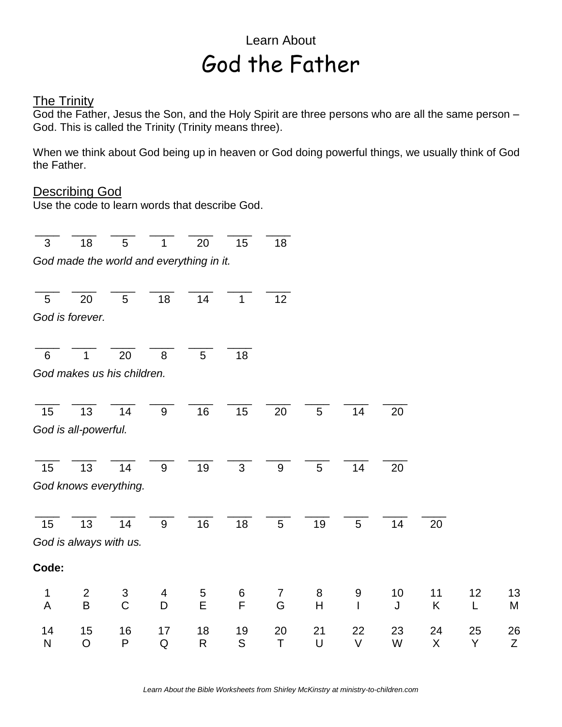## Learn About God the Father

## **The Trinity**

God the Father, Jesus the Son, and the Holy Spirit are three persons who are all the same person – God. This is called the Trinity (Trinity means three).

When we think about God being up in heaven or God doing powerful things, we usually think of God the Father.

## Describing God

Use the code to learn words that describe God.

\_\_\_\_ \_\_\_\_ \_\_\_\_ \_\_\_\_ \_\_\_\_ \_\_\_\_ \_\_\_\_ \_\_\_\_ 3 18 5 1 20 15 18 *God made the world and everything in it.* \_\_\_\_ \_\_\_\_ \_\_\_\_ \_\_\_\_ \_\_\_\_ \_\_\_\_ \_\_\_\_ 5 20 5 18 14 1 12 *God is forever.* \_\_\_\_ \_\_\_\_ \_\_\_\_ \_\_\_\_ \_\_\_\_ \_\_\_\_ 6 1 20 8 5 18 *God makes us his children.* \_\_\_\_ \_\_\_\_ \_\_\_\_ \_\_\_\_ \_\_\_\_ \_\_\_\_ \_\_\_\_ \_\_\_\_ \_\_\_\_ \_\_\_\_ 15 13 14 9 16 15 20 5 14 20 *God is all-powerful.* \_\_\_\_ \_\_\_\_ \_\_\_\_ \_\_\_\_ \_\_\_\_ \_\_\_\_ \_\_\_\_ \_\_\_\_ \_\_\_\_ \_\_\_\_ 15 13 14 9 19 3 9 5 14 20 *God knows everything.* \_\_\_\_ \_\_\_\_ \_\_\_\_ \_\_\_\_ \_\_\_\_ \_\_\_\_ \_\_\_\_ \_\_\_\_ \_\_\_\_ \_\_\_\_ \_\_\_\_ 15 13 14 9 16 18 5 19 5 14 20 *God is always with us.* **Code:** 1 2 3 4 5 6 7 8 9 10 11 12 13 A B C D E F G H I J K L M 14 15 16 17 18 19 20 21 22 23 24 25 26 N O P Q R S T U V W X Y Z